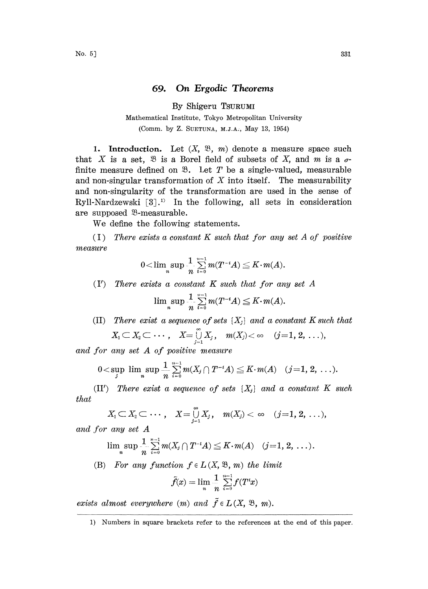## 69. On Ergodic Theorems

By Shigeru TSURUMI

## Mathematical Institute, Tokyo Metropolitan University (Comm. by Z. SUETUNA, M.J.A:, May 13, 1954)

1. Introduction. Let  $(X, \mathcal{B}, m)$  denote a measure space such that X is a set,  $\mathfrak{B}$  is a Borel field of subsets of X, and m is a  $\sigma$ finite measure defined on  $\mathcal{B}$ . Let T be a single-valued, measurable and non-singular transformation of  $X$  into itself. The measurability and non-singularity of the transformation are used in the sense of Ryll-Nardzewski  $[3]$ .<sup>1)</sup> In the following, all sets in consideration are supposed <sup>93</sup>-measurable.

We define the following statements.

 $(1)$  There exists a constant K such that for any set A of positive measure

$$
0<\limsup_n \frac{1}{n} \sum_{i=0}^{n-1} m(T^{-i}A) \leq K \cdot m(A).
$$
  
exists a constant K such that for an  

$$
\limsup_n \frac{1}{n} \sum_{i=1}^{n-1} m(T^{-i}A) \leq K \cdot m(A).
$$

 $(Y)$  There exists a constant  $K$  such that for any set  $A$ 

$$
\limsup_n \frac{1}{n} \sum_{i=0}^{n-1} m(T^{-i}A) \leq K \cdot m(A).
$$

(II) There exist a sequence of sets  $\{X_i\}$  and a constant K such that

$$
X_1\subset X_2\subset \cdots, \quad X=\overset{\infty}{\underset{j=1}{\cup}} X_j, \quad m(X_j)<\infty \quad (j=1,2,\ldots),
$$

and for any set A of positive measure

$$
0<\sup_j\limsup_n\frac{1}{n}\sum_{i=0}^{n-1}m(X_j\cap T^{-i}A)\leq K\cdot m(A)\quad (j=1,2,\ldots).
$$

(II') There exist a sequence of sets  $\{X_i\}$  and a constant K such that

$$
X_1\subset X_2\subset \cdots ,\quad X=\mathop{\cup}\limits_{j=1}^{\infty} X_j\,,\quad m(X_j)<\infty\quad (j=1,\,2,\,\ldots),
$$

and for any set A

$$
\begin{array}{ll}\n\textit{any set } A \\
\lim_{n} \sup \frac{1}{n} \sum_{i=0}^{n-1} m(X_i \cap T^{-i}A) \leq K \cdot m(A) & (j=1, 2, \ldots).\n\end{array}
$$

(B) For any function  $f \in L(X, \mathfrak{B}, m)$  the limit

$$
\tilde{f}(x) = \lim_n \frac{1}{n} \sum_{i=0}^{n-1} f(T^i x)
$$

exists almost everywhere  $(m)$  and  $\tilde{f} \in L(X, \mathcal{B}, m)$ .

<sup>1)</sup> Numbers in square brackets refer to the references at the end of this paper.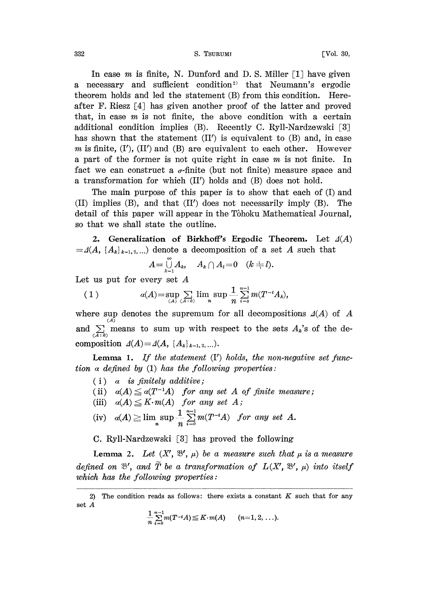332 S. TSURUMI [Vol. 30,

In case m is finite, N. Dunford and D. S. Miller  $\lceil 1 \rceil$  have given a necessary and sufficient condition<sup>2)</sup> that Neumann's ergodic theorem holds and led the statement (B) from this condition. Hereafter F. Riesz [4] has given another proof of the latter and proved that, in case  $m$  is not finite, the above condition with a certain additional condition implies (B). Recently C. Ryll-Nardzewski [3] has shown that the statement  $(II')$  is equivalent to  $(B)$  and, in case m is finite,  $(I')$ ,  $(II')$  and  $(B)$  are equivalent to each other. However <sup>a</sup> part of the former is not quite right in case m is not finite. In fact we can construct a  $\sigma$ -finite (but not finite) measure space and a transformation for which (II) holds and (B) does not hold.

The main purpose of this paper is to show that each of (I) and (II) implies (B), and that (IY) does not necessarily imply (B). The detail of this paper will appear in the Tôhoku Mathematical Journal, so that we shall state the outline.

2. Generalization of Birkhoff's Ergodic Theorem. Let  $\Delta(A)$  $=\Delta(A, \{A_k\}_{k=1,2,...})$  denote a decomposition of a set A such that

$$
A=\bigcup_{k=1}^\infty A_k,\quad A_k\cap A_l=0\quad (k\neq l).
$$

Let us put for every set  $A$ 

(1) 
$$
a(A) = \sup_{(A)} \sum_{(A \in \mathcal{A}^1)} \lim_{(A \in \mathcal{A}^1)} \sup_n \frac{1}{n} \sum_{i=0}^{n-1} m(T^{-i}A_i),
$$

where sup denotes the supremum for all decompositions  $\Delta(A)$  of A and  $\sum_{(A : k)}^{(A)}$  means to sum up with respect to the sets  $A_k$ 's of the decomposition  $\Delta(A) = \Delta(A, \{A_k\}_{k=1, 2, ...}).$ 

**Lemma 1.** If the statement  $(I')$  holds, the non-negative set function a defined by  $(1)$  has the following properties:

- $(i)$  a is finitely additive;
- (ii)  $\alpha(A) \leq \alpha(T^{-1}A)$  for any set A of finite measure;
- (iii)  $\alpha(A) \leq K \cdot m(A)$  for any set A;
- (iv)  $\alpha(A) \geq \limsup_n \frac{1}{n} \sum_{i=0}^{n-1} m(T^{-i}A)$  for any set A.

C. Ryll-Nardzewski [8] has proved the following

Lemma 2. Let  $(X', \mathfrak{B}', \mu)$  be a measure such that  $\mu$  is a measure defined on  $\mathfrak{B}'$ , and  $\widetilde{T}$  be a transformation of  $L(X, \mathfrak{B}', \mu)$  into itself which has the following properties:

$$
\frac{1}{n}\sum_{i=0}^{n-1}m(T^{-i}A)\leq K\cdot m(A) \qquad (n=1,2,\ldots).
$$

<sup>2)</sup> The condition reads as follows: there exists a constant  $K$  such that for any set A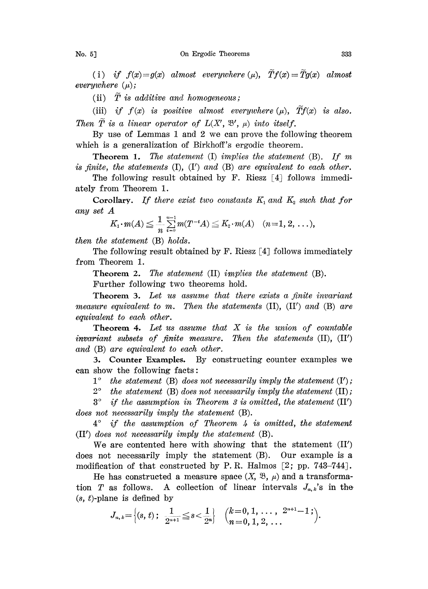(i) if  $f(x)=g(x)$  almost everywhere  $(\mu)$ ,  $\widetilde{T}f(x)=\widetilde{T}g(x)$  almost everywhere  $(\mu)$ ;

(ii)  $\overline{T}$  is additive and homogeneous;

(iii) if  $f(x)$  is positive almost everywhere  $(\mu)$ ,  $\tilde{T}f(x)$  is also. Then T is a linear operator of  $L(X, \mathcal{B}', \mu)$  into itself.

By use of Lemmas <sup>1</sup> and 2 we can prove the following theorem which is a generalization of Birkhoff's ergodic theorem.

**Theorem 1.** The statement  $(I)$  implies the statement  $(B)$ . If m is finite, the statements  $(I)$ ,  $(I')$  and  $(B)$  are equivalent to each other.

The following result obtained by F. Riesz [4] follows immediately from Theorem 1.

Corollary. If there exist two constants  $K_1$  and  $K_2$  such that for any set  $A$ 

$$
K_1 \cdot m(A) \leq \frac{1}{n} \sum_{i=0}^{n-1} m(T^{-i}A) \leq K_2 \cdot m(A) \quad (n=1, 2, \ldots),
$$

then the statement (B) holds.

The following result obtained by F. Riesz  $\lceil 4 \rceil$  follows immediately from Theorem 1.

Theorem 2. The statement (II) implies the statement (B).

Further following two theorems hold.

Theorem 3. Let us assume that there exists a finite invariant measure equivalent to m. Then the statements  $(II)$ ,  $(II')$  and  $(B)$  are equivalent to each other.

**Theorem 4.** Let us assume that  $X$  is the union of countable invariant subsets of finite measure. Then the statements  $(II)$ ,  $(II')$ and (B) are equivalent to each other.

3. Counter Examples. By constructing counter examples we can show the following facts:

 $1^{\circ}$  the statement (B) does not necessarily imply the statement (I');

 $2^{\circ}$  the statement (B) does not necessarily imply the statement (II);

 $3^{\circ}$  if the assumption in Theorem 3 is omitted, the statement (II') does not necessarily imply the statement (B).

 $4^{\circ}$  if the assumption of Theorem 4 is omitted, the statement  $(II')$  does not necessarily imply the statement  $(B)$ .

We are contented here with showing that the statement  $(II')$ does not necessarily imply the statement (B). Our example is a modification of that constructed by P.R. Halmos  $[2; pp. 743-744]$ .

He has constructed a measure space  $(X, \mathcal{B}, \mu)$  and a transformation T as follows. A collection of linear intervals  $J_{n,k}$ 's in the  $(s, t)$ -plane is defined by

$$
J_{n,\,k}\hspace{-1mm}=\hspace{-1mm}\Big\{(s,\,t)\,;\ \ \frac{1}{2^{n+1}}\hspace{-1mm}\leq\hspace{-1mm}s\hspace{-1mm}<\hspace{-1mm}\frac{1}{2^n}\hspace{-1mm}\Big\}\quad \Big(\hspace{-1mm}\begin{array}{l}\hspace{-1mm}k\hspace{-1mm}=\hspace{-1mm}0,\,1,\,\ldots\,,\ 2^{n+1}\hspace{-1mm}-\hspace{-1mm}1\,;\\\hspace{-1mm}n\hspace{-1mm}=\hspace{-1mm}0,\,1,\,2,\,\ldots\end{array}\hspace{-1mm}\Big).
$$